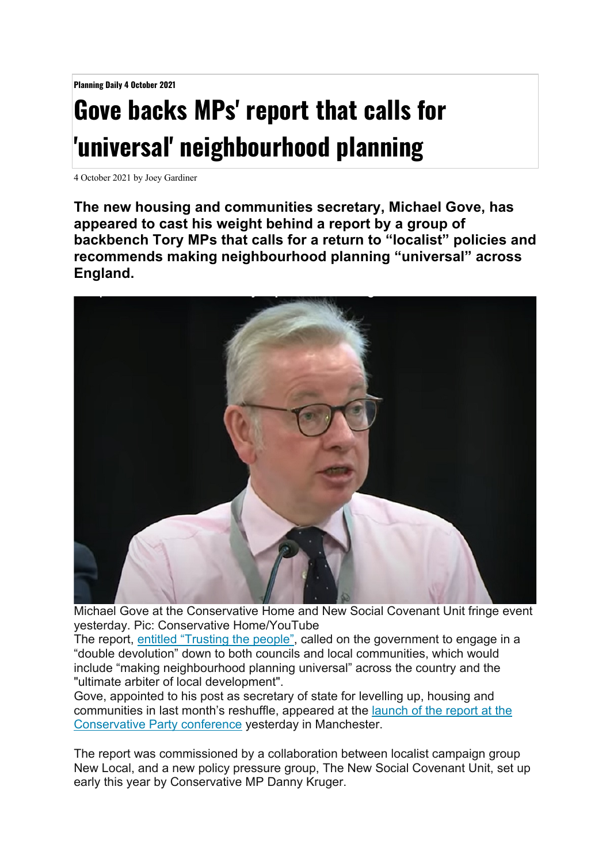**Planning Daily 4 October 2021**

## **Gove backs MPs' report that calls for 'universal' neighbourhood planning**

4 October 2021 by Joey Gardiner

**The new housing and communities secretary, Michael Gove, has appeared to cast his weight behind a report by a group of backbench Tory MPs that calls for a return to "localist" policies and recommends making neighbourhood planning "universal" across England.**



Michael Gove at the Conservative Home and New Social Covenant Unit fringe event yesterday. Pic: Conservative Home/YouTube

The report, entitled "Trusting the people", called on the government to engage in a "double devolution" down to both councils and local communities, which would include "making neighbourhood planning universal" across the country and the "ultimate arbiter of local development".

Gove, appointed to his post as secretary of state for levelling up, housing and communities in last month's reshuffle, appeared at the launch of the report at the Conservative Party conference yesterday in Manchester.

The report was commissioned by a collaboration between localist campaign group New Local, and a new policy pressure group, The New Social Covenant Unit, set up early this year by Conservative MP Danny Kruger.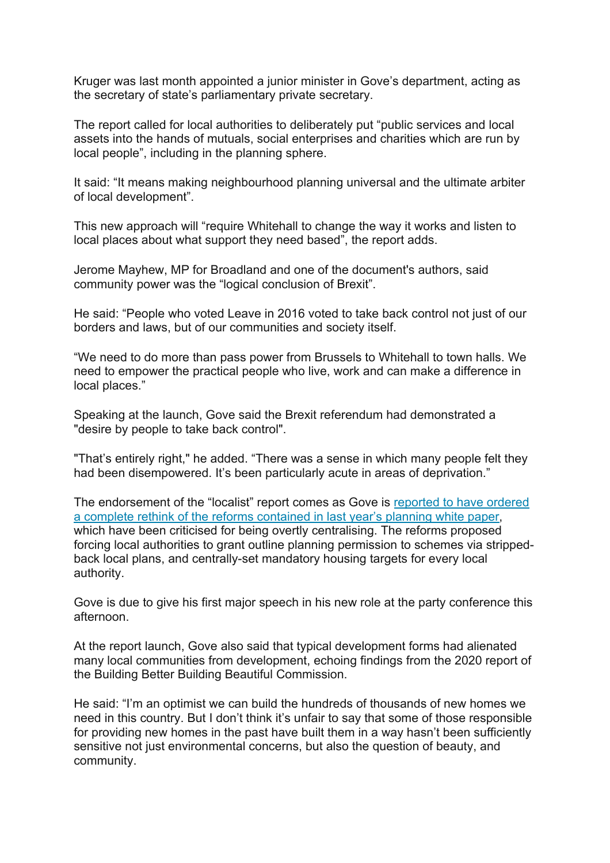Kruger was last month appointed a junior minister in Gove's department, acting as the secretary of state's parliamentary private secretary.

The report called for local authorities to deliberately put "public services and local assets into the hands of mutuals, social enterprises and charities which are run by local people", including in the planning sphere.

It said: "It means making neighbourhood planning universal and the ultimate arbiter of local development".

This new approach will "require Whitehall to change the way it works and listen to local places about what support they need based", the report adds.

Jerome Mayhew, MP for Broadland and one of the document's authors, said community power was the "logical conclusion of Brexit".

He said: "People who voted Leave in 2016 voted to take back control not just of our borders and laws, but of our communities and society itself.

"We need to do more than pass power from Brussels to Whitehall to town halls. We need to empower the practical people who live, work and can make a difference in local places."

Speaking at the launch, Gove said the Brexit referendum had demonstrated a "desire by people to take back control".

"That's entirely right," he added. "There was a sense in which many people felt they had been disempowered. It's been particularly acute in areas of deprivation."

The endorsement of the "localist" report comes as Gove is reported to have ordered a complete rethink of the reforms contained in last year's planning white paper, which have been criticised for being overtly centralising. The reforms proposed forcing local authorities to grant outline planning permission to schemes via strippedback local plans, and centrally-set mandatory housing targets for every local authority.

Gove is due to give his first major speech in his new role at the party conference this afternoon.

At the report launch, Gove also said that typical development forms had alienated many local communities from development, echoing findings from the 2020 report of the Building Better Building Beautiful Commission.

He said: "I'm an optimist we can build the hundreds of thousands of new homes we need in this country. But I don't think it's unfair to say that some of those responsible for providing new homes in the past have built them in a way hasn't been sufficiently sensitive not just environmental concerns, but also the question of beauty, and community.